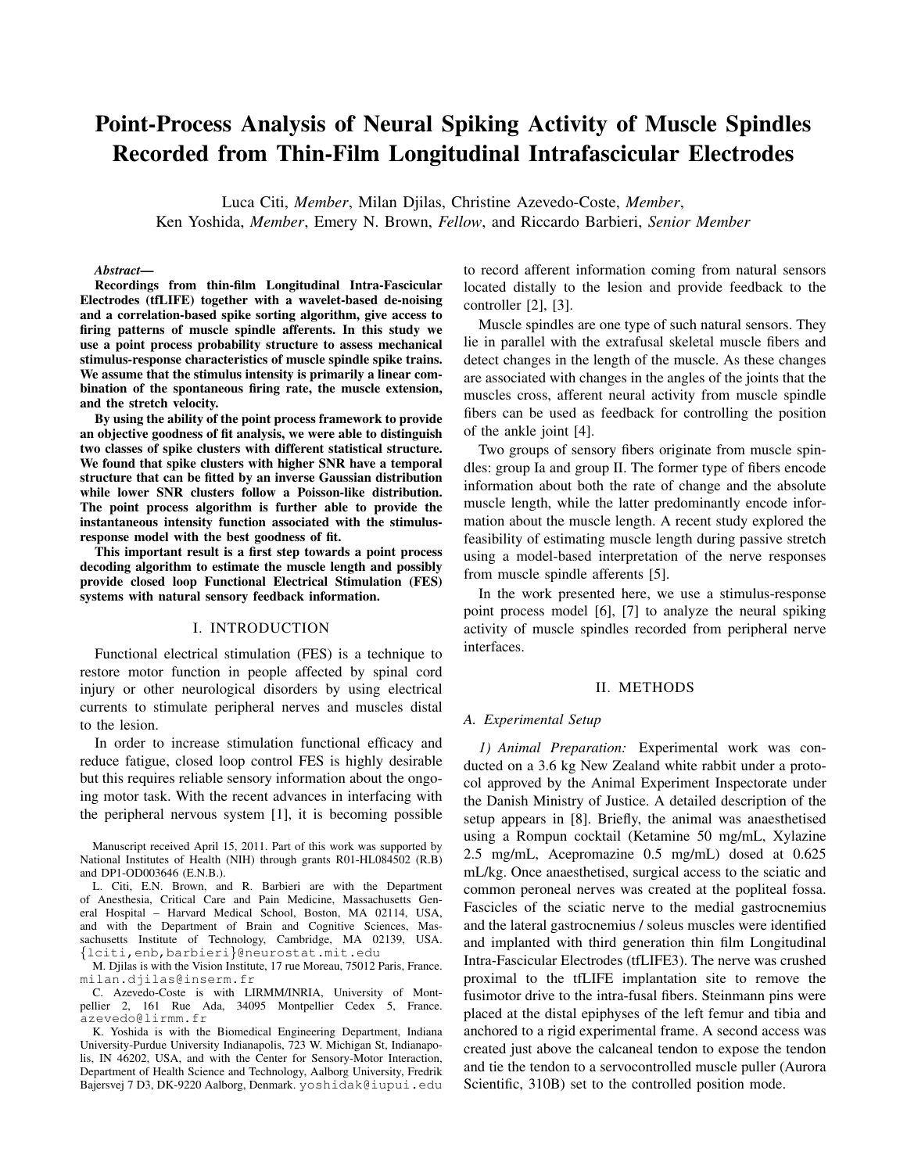# Point-Process Analysis of Neural Spiking Activity of Muscle Spindles Recorded from Thin-Film Longitudinal Intrafascicular Electrodes

Luca Citi, *Member*, Milan Djilas, Christine Azevedo-Coste, *Member*, Ken Yoshida, *Member*, Emery N. Brown, *Fellow*, and Riccardo Barbieri, *Senior Member*

*Abstract*—

Recordings from thin-film Longitudinal Intra-Fascicular Electrodes (tfLIFE) together with a wavelet-based de-noising and a correlation-based spike sorting algorithm, give access to firing patterns of muscle spindle afferents. In this study we use a point process probability structure to assess mechanical stimulus-response characteristics of muscle spindle spike trains. We assume that the stimulus intensity is primarily a linear combination of the spontaneous firing rate, the muscle extension, and the stretch velocity.

By using the ability of the point process framework to provide an objective goodness of fit analysis, we were able to distinguish two classes of spike clusters with different statistical structure. We found that spike clusters with higher SNR have a temporal structure that can be fitted by an inverse Gaussian distribution while lower SNR clusters follow a Poisson-like distribution. The point process algorithm is further able to provide the instantaneous intensity function associated with the stimulusresponse model with the best goodness of fit.

This important result is a first step towards a point process decoding algorithm to estimate the muscle length and possibly provide closed loop Functional Electrical Stimulation (FES) systems with natural sensory feedback information.

## I. INTRODUCTION

Functional electrical stimulation (FES) is a technique to restore motor function in people affected by spinal cord injury or other neurological disorders by using electrical currents to stimulate peripheral nerves and muscles distal to the lesion.

In order to increase stimulation functional efficacy and reduce fatigue, closed loop control FES is highly desirable but this requires reliable sensory information about the ongoing motor task. With the recent advances in interfacing with the peripheral nervous system [1], it is becoming possible

Manuscript received April 15, 2011. Part of this work was supported by National Institutes of Health (NIH) through grants R01-HL084502 (R.B) and DP1-OD003646 (E.N.B.).

L. Citi, E.N. Brown, and R. Barbieri are with the Department of Anesthesia, Critical Care and Pain Medicine, Massachusetts General Hospital – Harvard Medical School, Boston, MA 02114, USA, and with the Department of Brain and Cognitive Sciences, Massachusetts Institute of Technology, Cambridge, MA 02139, USA. *{*lciti,enb,barbieri*}*@neurostat.mit.edu

M. Djilas is with the Vision Institute, 17 rue Moreau, 75012 Paris, France. milan.djilas@inserm.fr

C. Azevedo-Coste is with LIRMM/INRIA, University of Montpellier 2, 161 Rue Ada, 34095 Montpellier Cedex 5, France. azevedo@lirmm.fr

K. Yoshida is with the Biomedical Engineering Department, Indiana University-Purdue University Indianapolis, 723 W. Michigan St, Indianapolis, IN 46202, USA, and with the Center for Sensory-Motor Interaction, Department of Health Science and Technology, Aalborg University, Fredrik Bajersvej 7 D3, DK-9220 Aalborg, Denmark. yoshidak@iupui.edu

to record afferent information coming from natural sensors located distally to the lesion and provide feedback to the controller [2], [3].

Muscle spindles are one type of such natural sensors. They lie in parallel with the extrafusal skeletal muscle fibers and detect changes in the length of the muscle. As these changes are associated with changes in the angles of the joints that the muscles cross, afferent neural activity from muscle spindle fibers can be used as feedback for controlling the position of the ankle joint [4].

Two groups of sensory fibers originate from muscle spindles: group Ia and group II. The former type of fibers encode information about both the rate of change and the absolute muscle length, while the latter predominantly encode information about the muscle length. A recent study explored the feasibility of estimating muscle length during passive stretch using a model-based interpretation of the nerve responses from muscle spindle afferents [5].

In the work presented here, we use a stimulus-response point process model [6], [7] to analyze the neural spiking activity of muscle spindles recorded from peripheral nerve interfaces.

# II. METHODS

#### *A. Experimental Setup*

*1) Animal Preparation:* Experimental work was conducted on a 3.6 kg New Zealand white rabbit under a protocol approved by the Animal Experiment Inspectorate under the Danish Ministry of Justice. A detailed description of the setup appears in [8]. Briefly, the animal was anaesthetised using a Rompun cocktail (Ketamine 50 mg/mL, Xylazine 2.5 mg/mL, Acepromazine 0.5 mg/mL) dosed at 0.625 mL/kg. Once anaesthetised, surgical access to the sciatic and common peroneal nerves was created at the popliteal fossa. Fascicles of the sciatic nerve to the medial gastrocnemius and the lateral gastrocnemius / soleus muscles were identified and implanted with third generation thin film Longitudinal Intra-Fascicular Electrodes (tfLIFE3). The nerve was crushed proximal to the tfLIFE implantation site to remove the fusimotor drive to the intra-fusal fibers. Steinmann pins were placed at the distal epiphyses of the left femur and tibia and anchored to a rigid experimental frame. A second access was created just above the calcaneal tendon to expose the tendon and tie the tendon to a servocontrolled muscle puller (Aurora Scientific, 310B) set to the controlled position mode.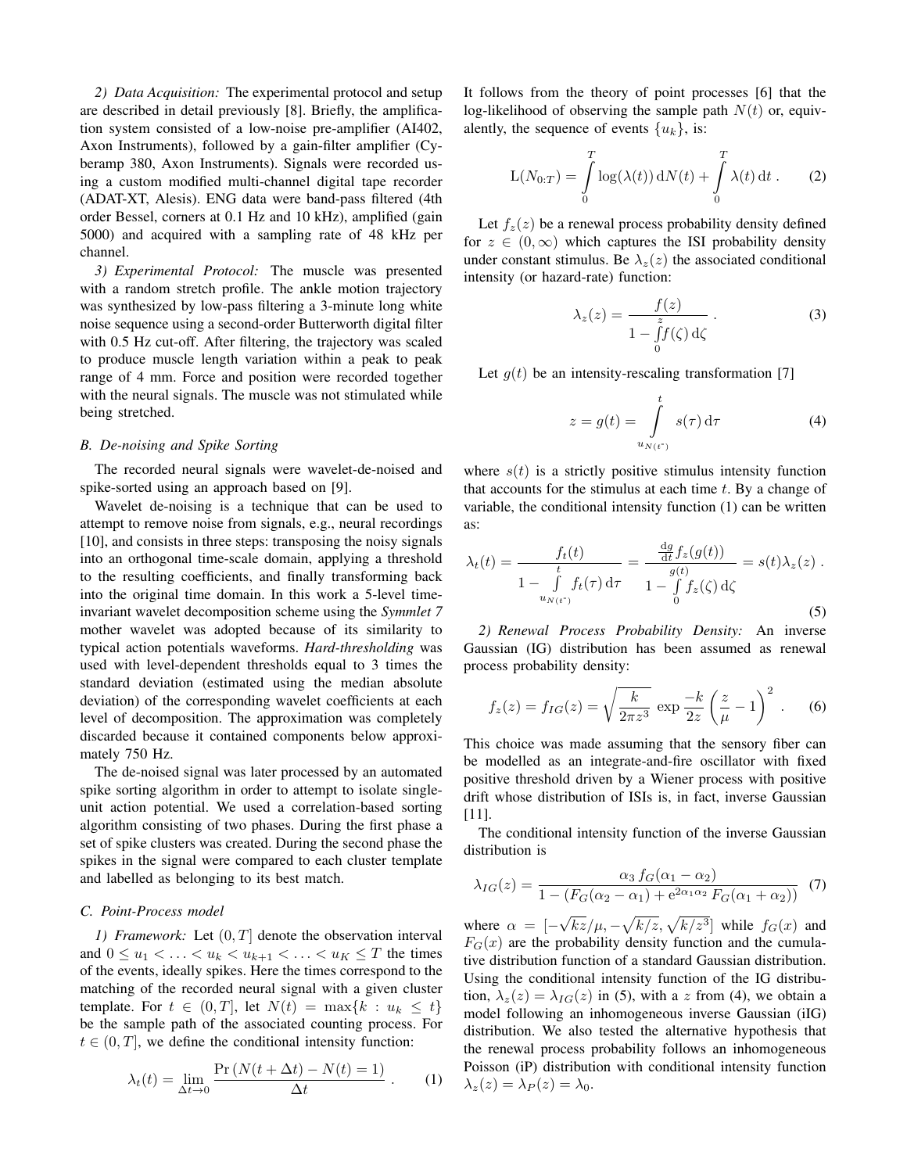*2) Data Acquisition:* The experimental protocol and setup are described in detail previously [8]. Briefly, the amplification system consisted of a low-noise pre-amplifier (AI402, Axon Instruments), followed by a gain-filter amplifier (Cyberamp 380, Axon Instruments). Signals were recorded using a custom modified multi-channel digital tape recorder (ADAT-XT, Alesis). ENG data were band-pass filtered (4th order Bessel, corners at 0.1 Hz and 10 kHz), amplified (gain 5000) and acquired with a sampling rate of 48 kHz per channel.

*3) Experimental Protocol:* The muscle was presented with a random stretch profile. The ankle motion trajectory was synthesized by low-pass filtering a 3-minute long white noise sequence using a second-order Butterworth digital filter with 0.5 Hz cut-off. After filtering, the trajectory was scaled to produce muscle length variation within a peak to peak range of 4 mm. Force and position were recorded together with the neural signals. The muscle was not stimulated while being stretched.

#### *B. De-noising and Spike Sorting*

The recorded neural signals were wavelet-de-noised and spike-sorted using an approach based on [9].

Wavelet de-noising is a technique that can be used to attempt to remove noise from signals, e.g., neural recordings [10], and consists in three steps: transposing the noisy signals into an orthogonal time-scale domain, applying a threshold to the resulting coefficients, and finally transforming back into the original time domain. In this work a 5-level timeinvariant wavelet decomposition scheme using the *Symmlet 7* mother wavelet was adopted because of its similarity to typical action potentials waveforms. *Hard-thresholding* was used with level-dependent thresholds equal to 3 times the standard deviation (estimated using the median absolute deviation) of the corresponding wavelet coefficients at each level of decomposition. The approximation was completely discarded because it contained components below approximately 750 Hz.

The de-noised signal was later processed by an automated spike sorting algorithm in order to attempt to isolate singleunit action potential. We used a correlation-based sorting algorithm consisting of two phases. During the first phase a set of spike clusters was created. During the second phase the spikes in the signal were compared to each cluster template and labelled as belonging to its best match.

# *C. Point-Process model*

*1) Framework:* Let (0*, T*] denote the observation interval and  $0 \leq u_1 < \ldots < u_k < u_{k+1} < \ldots < u_K \leq T$  the times of the events, ideally spikes. Here the times correspond to the matching of the recorded neural signal with a given cluster  ${\rm t}$  template. For  $t \in (0, T]$ , let  $N(t) = \max\{k : u_k \leq t\}$ be the sample path of the associated counting process. For  $t \in (0, T]$ , we define the conditional intensity function:

$$
\lambda_t(t) = \lim_{\Delta t \to 0} \frac{\Pr\left(N(t + \Delta t) - N(t) = 1\right)}{\Delta t} \,. \tag{1}
$$

It follows from the theory of point processes [6] that the log-likelihood of observing the sample path  $N(t)$  or, equivalently, the sequence of events  $\{u_k\}$ , is:

$$
L(N_{0:T}) = \int\limits_0^T \log(\lambda(t)) dN(t) + \int\limits_0^T \lambda(t) dt.
$$
 (2)

Let  $f_z(z)$  be a renewal process probability density defined for  $z \in (0, \infty)$  which captures the ISI probability density under constant stimulus. Be  $\lambda_z(z)$  the associated conditional intensity (or hazard-rate) function:

$$
\lambda_z(z) = \frac{f(z)}{1 - \int_0^z f(\zeta) d\zeta}.
$$
 (3)

Let  $g(t)$  be an intensity-rescaling transformation [7]

$$
z = g(t) = \int_{u_{N(t^*)}}^t s(\tau) d\tau
$$
 (4)

where  $s(t)$  is a strictly positive stimulus intensity function that accounts for the stimulus at each time *t*. By a change of variable, the conditional intensity function (1) can be written as:

$$
\lambda_t(t) = \frac{f_t(t)}{1 - \int\limits_{u_{N(t)}}^t f_t(\tau) d\tau} = \frac{\frac{dg}{dt} f_z(g(t))}{1 - \int\limits_0^{g(t)} f_z(\zeta) d\zeta} = s(t)\lambda_z(z).
$$
\n(5)

*2) Renewal Process Probability Density:* An inverse Gaussian (IG) distribution has been assumed as renewal process probability density:

$$
f_z(z) = f_{IG}(z) = \sqrt{\frac{k}{2\pi z^3}} \exp \frac{-k}{2z} \left(\frac{z}{\mu} - 1\right)^2.
$$
 (6)

This choice was made assuming that the sensory fiber can be modelled as an integrate-and-fire oscillator with fixed positive threshold driven by a Wiener process with positive drift whose distribution of ISIs is, in fact, inverse Gaussian [11].

The conditional intensity function of the inverse Gaussian distribution is

$$
\lambda_{IG}(z) = \frac{\alpha_3 f_G(\alpha_1 - \alpha_2)}{1 - (F_G(\alpha_2 - \alpha_1) + e^{2\alpha_1 \alpha_2} F_G(\alpha_1 + \alpha_2))}
$$
(7)

where  $\alpha =$   $[-$ *√*  $\sqrt{kz}/\mu$ ,  $-\sqrt{k/z}$ ,  $\sqrt{k/z^3}$ ] while *f<sub>G</sub>*(*x*) and  $F_G(x)$  are the probability density function and the cumulative distribution function of a standard Gaussian distribution. Using the conditional intensity function of the IG distribution,  $\lambda_z(z) = \lambda_{IG}(z)$  in (5), with a *z* from (4), we obtain a model following an inhomogeneous inverse Gaussian (iIG) distribution. We also tested the alternative hypothesis that the renewal process probability follows an inhomogeneous Poisson (iP) distribution with conditional intensity function  $\lambda_z(z) = \lambda_P(z) = \lambda_0$ .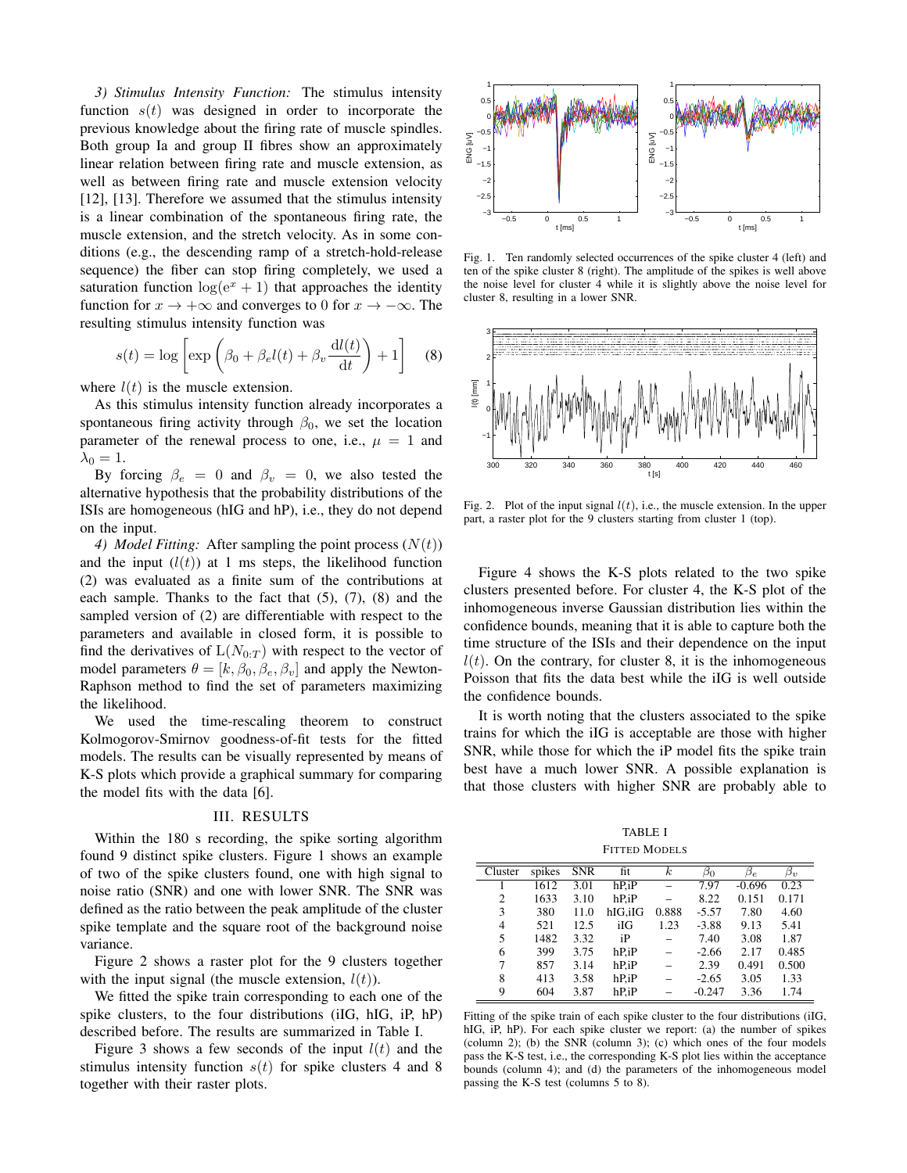*3) Stimulus Intensity Function:* The stimulus intensity function  $s(t)$  was designed in order to incorporate the previous knowledge about the firing rate of muscle spindles. Both group Ia and group II fibres show an approximately linear relation between firing rate and muscle extension, as well as between firing rate and muscle extension velocity [12], [13]. Therefore we assumed that the stimulus intensity is a linear combination of the spontaneous firing rate, the muscle extension, and the stretch velocity. As in some conditions (e.g., the descending ramp of a stretch-hold-release sequence) the fiber can stop firing completely, we used a saturation function  $log(e^x + 1)$  that approaches the identity function for  $x \to +\infty$  and converges to 0 for  $x \to -\infty$ . The resulting stimulus intensity function was

$$
s(t) = \log \left[ \exp \left( \beta_0 + \beta_e l(t) + \beta_v \frac{\mathrm{d}l(t)}{\mathrm{d}t} \right) + 1 \right] \tag{8}
$$

where  $l(t)$  is the muscle extension.

As this stimulus intensity function already incorporates a spontaneous firing activity through  $\beta_0$ , we set the location parameter of the renewal process to one, i.e.,  $\mu = 1$  and  $\lambda_0 = 1$ .

By forcing  $\beta_e = 0$  and  $\beta_v = 0$ , we also tested the alternative hypothesis that the probability distributions of the ISIs are homogeneous (hIG and hP), i.e., they do not depend on the input.

*4) Model Fitting:* After sampling the point process (*N*(*t*)) and the input  $(l(t))$  at 1 ms steps, the likelihood function (2) was evaluated as a finite sum of the contributions at each sample. Thanks to the fact that  $(5)$ ,  $(7)$ ,  $(8)$  and the sampled version of (2) are differentiable with respect to the parameters and available in closed form, it is possible to find the derivatives of  $L(N_{0:T})$  with respect to the vector of model parameters  $\theta = [k, \beta_0, \beta_e, \beta_v]$  and apply the Newton-Raphson method to find the set of parameters maximizing the likelihood.

We used the time-rescaling theorem to construct Kolmogorov-Smirnov goodness-of-fit tests for the fitted models. The results can be visually represented by means of K-S plots which provide a graphical summary for comparing the model fits with the data [6].

#### III. RESULTS

Within the 180 s recording, the spike sorting algorithm found 9 distinct spike clusters. Figure 1 shows an example of two of the spike clusters found, one with high signal to noise ratio (SNR) and one with lower SNR. The SNR was defined as the ratio between the peak amplitude of the cluster spike template and the square root of the background noise variance.

Figure 2 shows a raster plot for the 9 clusters together with the input signal (the muscle extension,  $l(t)$ ).

We fitted the spike train corresponding to each one of the spike clusters, to the four distributions (iIG, hIG, iP, hP) described before. The results are summarized in Table I.

Figure 3 shows a few seconds of the input  $l(t)$  and the stimulus intensity function  $s(t)$  for spike clusters 4 and 8 together with their raster plots.



Fig. 1. Ten randomly selected occurrences of the spike cluster 4 (left) and ten of the spike cluster 8 (right). The amplitude of the spikes is well above the noise level for cluster 4 while it is slightly above the noise level for cluster 8, resulting in a lower SNR.



Fig. 2. Plot of the input signal *l*(*t*), i.e., the muscle extension. In the upper part, a raster plot for the 9 clusters starting from cluster 1 (top).

Figure 4 shows the K-S plots related to the two spike clusters presented before. For cluster 4, the K-S plot of the inhomogeneous inverse Gaussian distribution lies within the confidence bounds, meaning that it is able to capture both the time structure of the ISIs and their dependence on the input  $l(t)$ . On the contrary, for cluster 8, it is the inhomogeneous Poisson that fits the data best while the iIG is well outside the confidence bounds.

It is worth noting that the clusters associated to the spike trains for which the iIG is acceptable are those with higher SNR, while those for which the iP model fits the spike train best have a much lower SNR. A possible explanation is that those clusters with higher SNR are probably able to

TABLE I FITTED MODELS

| Cluster | spikes | <b>SNR</b> | fit     | $\boldsymbol{k}$ | $\beta_0$ | $\beta_e$ | $\beta_v$ |
|---------|--------|------------|---------|------------------|-----------|-----------|-----------|
|         | 1612   | 3.01       | $hP_iP$ |                  | 7.97      | $-0.696$  | 0.23      |
| 2       | 1633   | 3.10       | $hP_iP$ |                  | 8.22      | 0.151     | 0.171     |
| 3       | 380    | 11.0       | hIG.iIG | 0.888            | $-5.57$   | 7.80      | 4.60      |
| 4       | 521    | 12.5       | iIG     | 1.23             | $-3.88$   | 9.13      | 5.41      |
| 5       | 1482   | 3.32       | iP      |                  | 7.40      | 3.08      | 1.87      |
| 6       | 399    | 3.75       | $hP_iP$ |                  | $-2.66$   | 2.17      | 0.485     |
| 7       | 857    | 3.14       | $hP_iP$ |                  | 2.39      | 0.491     | 0.500     |
| 8       | 413    | 3.58       | hP.iP   |                  | $-2.65$   | 3.05      | 1.33      |
| 9       | 604    | 3.87       | hP.iP   |                  | $-0.247$  | 3.36      | 1.74      |

Fitting of the spike train of each spike cluster to the four distributions (iIG, hIG, iP, hP). For each spike cluster we report: (a) the number of spikes (column 2); (b) the SNR (column 3); (c) which ones of the four models pass the K-S test, i.e., the corresponding K-S plot lies within the acceptance bounds (column 4); and (d) the parameters of the inhomogeneous model passing the K-S test (columns 5 to 8).